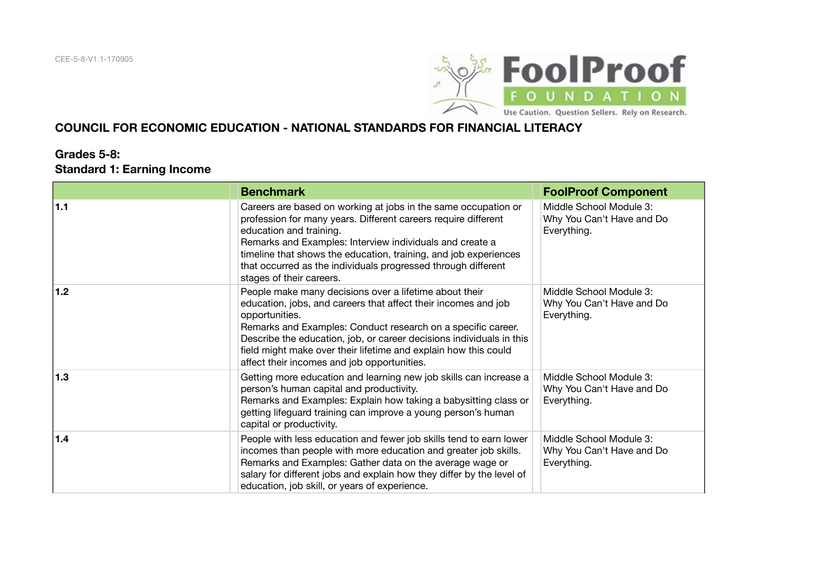

#### **COUNCIL FOR ECONOMIC EDUCATION - NATIONAL STANDARDS FOR FINANCIAL LITERACY**

#### **Grades 5‐8: Standard 1: Earning Income**

|     | <b>Benchmark</b>                                                                                                                                                                                                                                                                                                                                                                                     | <b>FoolProof Component</b>                                          |
|-----|------------------------------------------------------------------------------------------------------------------------------------------------------------------------------------------------------------------------------------------------------------------------------------------------------------------------------------------------------------------------------------------------------|---------------------------------------------------------------------|
| 1.1 | Careers are based on working at jobs in the same occupation or<br>profession for many years. Different careers require different<br>education and training.<br>Remarks and Examples: Interview individuals and create a<br>timeline that shows the education, training, and job experiences<br>that occurred as the individuals progressed through different<br>stages of their careers.             | Middle School Module 3:<br>Why You Can't Have and Do<br>Everything. |
| 1.2 | People make many decisions over a lifetime about their<br>education, jobs, and careers that affect their incomes and job<br>opportunities.<br>Remarks and Examples: Conduct research on a specific career.<br>Describe the education, job, or career decisions individuals in this<br>field might make over their lifetime and explain how this could<br>affect their incomes and job opportunities. | Middle School Module 3:<br>Why You Can't Have and Do<br>Everything. |
| 1.3 | Getting more education and learning new job skills can increase a<br>person's human capital and productivity.<br>Remarks and Examples: Explain how taking a babysitting class or<br>getting lifeguard training can improve a young person's human<br>capital or productivity.                                                                                                                        | Middle School Module 3:<br>Why You Can't Have and Do<br>Everything. |
| 1.4 | People with less education and fewer job skills tend to earn lower<br>incomes than people with more education and greater job skills.<br>Remarks and Examples: Gather data on the average wage or<br>salary for different jobs and explain how they differ by the level of<br>education, job skill, or years of experience.                                                                          | Middle School Module 3:<br>Why You Can't Have and Do<br>Everything. |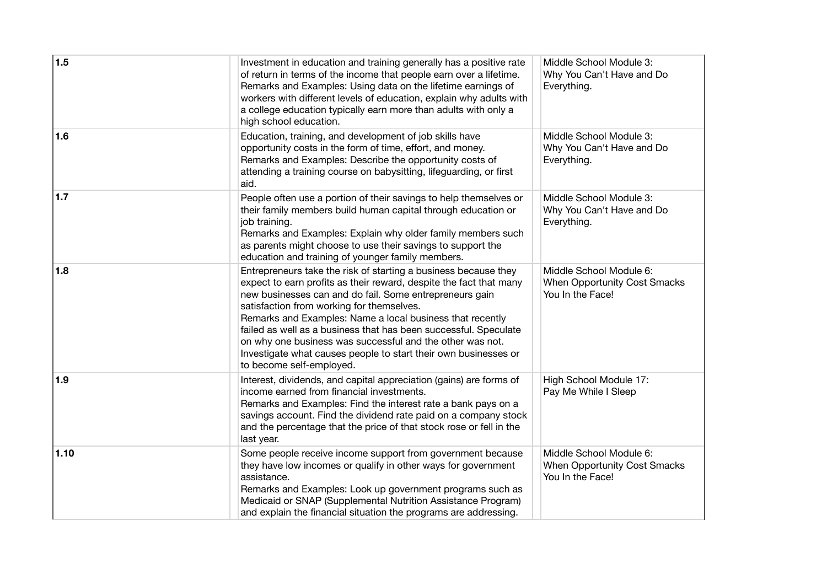| 1.5  | Investment in education and training generally has a positive rate<br>of return in terms of the income that people earn over a lifetime.<br>Remarks and Examples: Using data on the lifetime earnings of<br>workers with different levels of education, explain why adults with<br>a college education typically earn more than adults with only a<br>high school education.                                                                                                                                                               | Middle School Module 3:<br>Why You Can't Have and Do<br>Everything.                |
|------|--------------------------------------------------------------------------------------------------------------------------------------------------------------------------------------------------------------------------------------------------------------------------------------------------------------------------------------------------------------------------------------------------------------------------------------------------------------------------------------------------------------------------------------------|------------------------------------------------------------------------------------|
| 1.6  | Education, training, and development of job skills have<br>opportunity costs in the form of time, effort, and money.<br>Remarks and Examples: Describe the opportunity costs of<br>attending a training course on babysitting, lifeguarding, or first<br>aid.                                                                                                                                                                                                                                                                              | Middle School Module 3:<br>Why You Can't Have and Do<br>Everything.                |
| 1.7  | People often use a portion of their savings to help themselves or<br>their family members build human capital through education or<br>job training.<br>Remarks and Examples: Explain why older family members such<br>as parents might choose to use their savings to support the<br>education and training of younger family members.                                                                                                                                                                                                     | Middle School Module 3:<br>Why You Can't Have and Do<br>Everything.                |
| 1.8  | Entrepreneurs take the risk of starting a business because they<br>expect to earn profits as their reward, despite the fact that many<br>new businesses can and do fail. Some entrepreneurs gain<br>satisfaction from working for themselves.<br>Remarks and Examples: Name a local business that recently<br>failed as well as a business that has been successful. Speculate<br>on why one business was successful and the other was not.<br>Investigate what causes people to start their own businesses or<br>to become self-employed. | Middle School Module 6:<br><b>When Opportunity Cost Smacks</b><br>You In the Face! |
| 1.9  | Interest, dividends, and capital appreciation (gains) are forms of<br>income earned from financial investments.<br>Remarks and Examples: Find the interest rate a bank pays on a<br>savings account. Find the dividend rate paid on a company stock<br>and the percentage that the price of that stock rose or fell in the<br>last year.                                                                                                                                                                                                   | High School Module 17:<br>Pay Me While I Sleep                                     |
| 1.10 | Some people receive income support from government because<br>they have low incomes or qualify in other ways for government<br>assistance.<br>Remarks and Examples: Look up government programs such as<br>Medicaid or SNAP (Supplemental Nutrition Assistance Program)<br>and explain the financial situation the programs are addressing.                                                                                                                                                                                                | Middle School Module 6:<br><b>When Opportunity Cost Smacks</b><br>You In the Face! |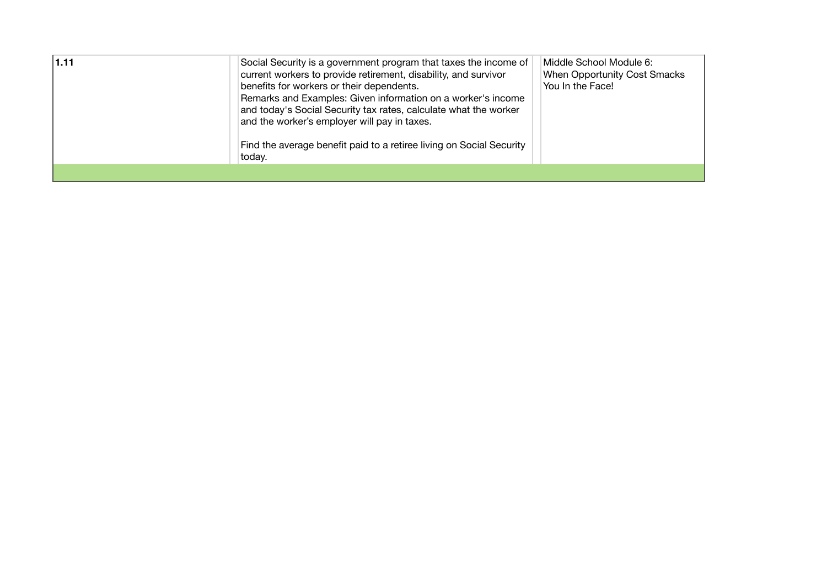| 1.11 | Social Security is a government program that taxes the income of<br>current workers to provide retirement, disability, and survivor<br>benefits for workers or their dependents.<br>Remarks and Examples: Given information on a worker's income<br>and today's Social Security tax rates, calculate what the worker<br>and the worker's employer will pay in taxes.<br>Find the average benefit paid to a retiree living on Social Security<br>today. | Middle School Module 6:<br>When Opportunity Cost Smacks<br>You In the Face! |
|------|--------------------------------------------------------------------------------------------------------------------------------------------------------------------------------------------------------------------------------------------------------------------------------------------------------------------------------------------------------------------------------------------------------------------------------------------------------|-----------------------------------------------------------------------------|
|      |                                                                                                                                                                                                                                                                                                                                                                                                                                                        |                                                                             |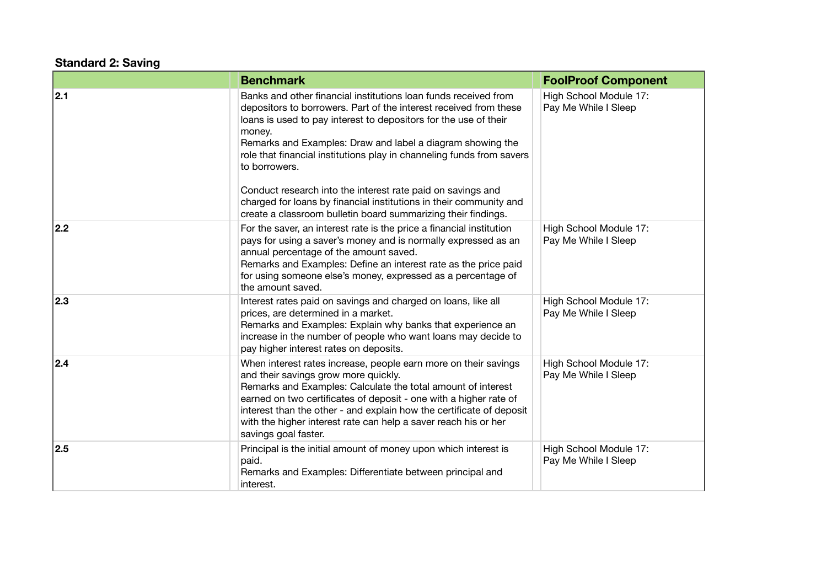## **Standard 2: Saving**

|     | <b>Benchmark</b>                                                                                                                                                                                                                                                                                                                                                                                                                                                                                                                                                                 | <b>FoolProof Component</b>                     |
|-----|----------------------------------------------------------------------------------------------------------------------------------------------------------------------------------------------------------------------------------------------------------------------------------------------------------------------------------------------------------------------------------------------------------------------------------------------------------------------------------------------------------------------------------------------------------------------------------|------------------------------------------------|
| 2.1 | Banks and other financial institutions loan funds received from<br>depositors to borrowers. Part of the interest received from these<br>loans is used to pay interest to depositors for the use of their<br>money.<br>Remarks and Examples: Draw and label a diagram showing the<br>role that financial institutions play in channeling funds from savers<br>to borrowers.<br>Conduct research into the interest rate paid on savings and<br>charged for loans by financial institutions in their community and<br>create a classroom bulletin board summarizing their findings. | High School Module 17:<br>Pay Me While I Sleep |
| 2.2 | For the saver, an interest rate is the price a financial institution<br>pays for using a saver's money and is normally expressed as an<br>annual percentage of the amount saved.<br>Remarks and Examples: Define an interest rate as the price paid<br>for using someone else's money, expressed as a percentage of<br>the amount saved.                                                                                                                                                                                                                                         | High School Module 17:<br>Pay Me While I Sleep |
| 2.3 | Interest rates paid on savings and charged on loans, like all<br>prices, are determined in a market.<br>Remarks and Examples: Explain why banks that experience an<br>increase in the number of people who want loans may decide to<br>pay higher interest rates on deposits.                                                                                                                                                                                                                                                                                                    | High School Module 17:<br>Pay Me While I Sleep |
| 2.4 | When interest rates increase, people earn more on their savings<br>and their savings grow more quickly.<br>Remarks and Examples: Calculate the total amount of interest<br>earned on two certificates of deposit - one with a higher rate of<br>interest than the other - and explain how the certificate of deposit<br>with the higher interest rate can help a saver reach his or her<br>savings goal faster.                                                                                                                                                                  | High School Module 17:<br>Pay Me While I Sleep |
| 2.5 | Principal is the initial amount of money upon which interest is<br>paid.<br>Remarks and Examples: Differentiate between principal and<br>interest.                                                                                                                                                                                                                                                                                                                                                                                                                               | High School Module 17:<br>Pay Me While I Sleep |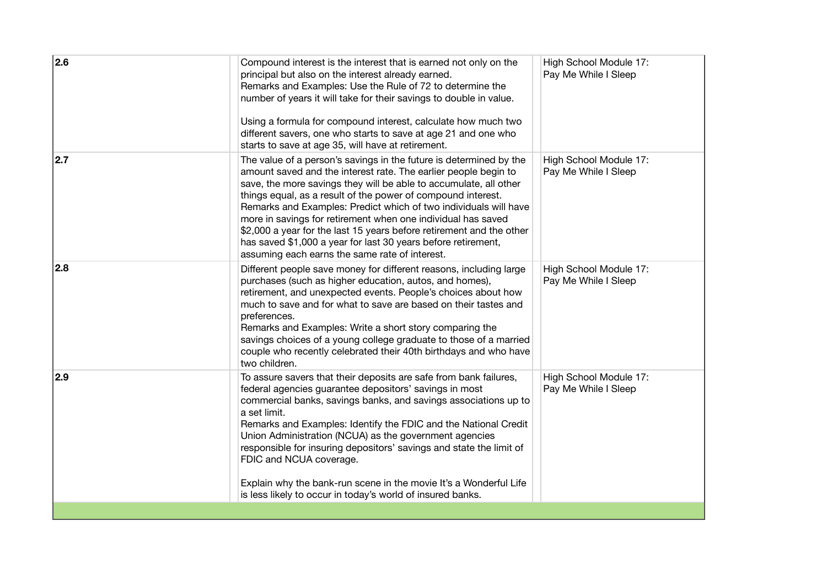| 2.6 | Compound interest is the interest that is earned not only on the<br>principal but also on the interest already earned.<br>Remarks and Examples: Use the Rule of 72 to determine the<br>number of years it will take for their savings to double in value.<br>Using a formula for compound interest, calculate how much two<br>different savers, one who starts to save at age 21 and one who<br>starts to save at age 35, will have at retirement.                                                                                                                                                        | High School Module 17:<br>Pay Me While I Sleep |
|-----|-----------------------------------------------------------------------------------------------------------------------------------------------------------------------------------------------------------------------------------------------------------------------------------------------------------------------------------------------------------------------------------------------------------------------------------------------------------------------------------------------------------------------------------------------------------------------------------------------------------|------------------------------------------------|
| 2.7 | The value of a person's savings in the future is determined by the<br>amount saved and the interest rate. The earlier people begin to<br>save, the more savings they will be able to accumulate, all other<br>things equal, as a result of the power of compound interest.<br>Remarks and Examples: Predict which of two individuals will have<br>more in savings for retirement when one individual has saved<br>\$2,000 a year for the last 15 years before retirement and the other<br>has saved \$1,000 a year for last 30 years before retirement,<br>assuming each earns the same rate of interest. | High School Module 17:<br>Pay Me While I Sleep |
| 2.8 | Different people save money for different reasons, including large<br>purchases (such as higher education, autos, and homes),<br>retirement, and unexpected events. People's choices about how<br>much to save and for what to save are based on their tastes and<br>preferences.<br>Remarks and Examples: Write a short story comparing the<br>savings choices of a young college graduate to those of a married<br>couple who recently celebrated their 40th birthdays and who have<br>two children.                                                                                                    | High School Module 17:<br>Pay Me While I Sleep |
| 2.9 | To assure savers that their deposits are safe from bank failures,<br>federal agencies guarantee depositors' savings in most<br>commercial banks, savings banks, and savings associations up to<br>a set limit.<br>Remarks and Examples: Identify the FDIC and the National Credit<br>Union Administration (NCUA) as the government agencies<br>responsible for insuring depositors' savings and state the limit of<br>FDIC and NCUA coverage.<br>Explain why the bank-run scene in the movie It's a Wonderful Life<br>is less likely to occur in today's world of insured banks.                          | High School Module 17:<br>Pay Me While I Sleep |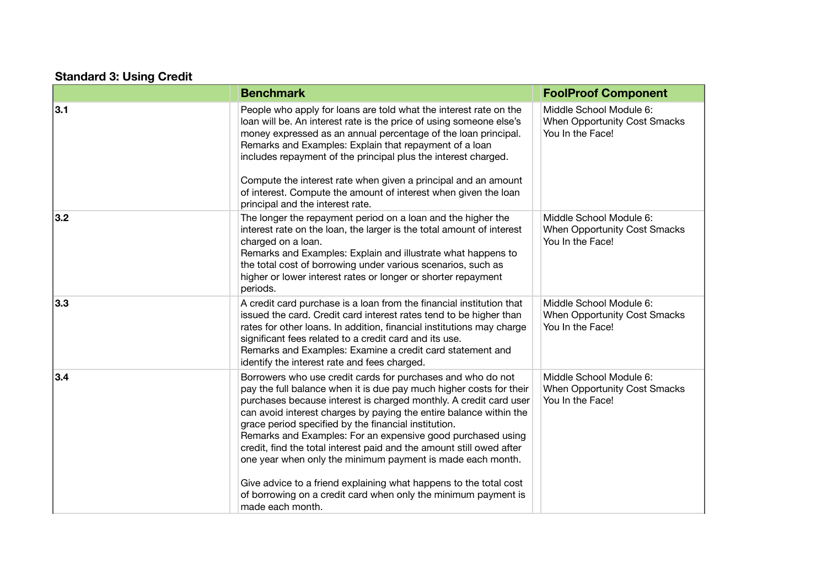# **Standard 3: Using Credit**

|     | <b>Benchmark</b>                                                                                                                                                                                                                                                                                                                                                                                                                                                                                                                                                                                                                                                                                      | <b>FoolProof Component</b>                                                  |
|-----|-------------------------------------------------------------------------------------------------------------------------------------------------------------------------------------------------------------------------------------------------------------------------------------------------------------------------------------------------------------------------------------------------------------------------------------------------------------------------------------------------------------------------------------------------------------------------------------------------------------------------------------------------------------------------------------------------------|-----------------------------------------------------------------------------|
| 3.1 | People who apply for loans are told what the interest rate on the<br>loan will be. An interest rate is the price of using someone else's<br>money expressed as an annual percentage of the loan principal.<br>Remarks and Examples: Explain that repayment of a loan<br>includes repayment of the principal plus the interest charged.<br>Compute the interest rate when given a principal and an amount<br>of interest. Compute the amount of interest when given the loan<br>principal and the interest rate.                                                                                                                                                                                       | Middle School Module 6:<br>When Opportunity Cost Smacks<br>You In the Face! |
| 3.2 | The longer the repayment period on a loan and the higher the<br>interest rate on the loan, the larger is the total amount of interest<br>charged on a loan.<br>Remarks and Examples: Explain and illustrate what happens to<br>the total cost of borrowing under various scenarios, such as<br>higher or lower interest rates or longer or shorter repayment<br>periods.                                                                                                                                                                                                                                                                                                                              | Middle School Module 6:<br>When Opportunity Cost Smacks<br>You In the Face! |
| 3.3 | A credit card purchase is a loan from the financial institution that<br>issued the card. Credit card interest rates tend to be higher than<br>rates for other loans. In addition, financial institutions may charge<br>significant fees related to a credit card and its use.<br>Remarks and Examples: Examine a credit card statement and<br>identify the interest rate and fees charged.                                                                                                                                                                                                                                                                                                            | Middle School Module 6:<br>When Opportunity Cost Smacks<br>You In the Face! |
| 3.4 | Borrowers who use credit cards for purchases and who do not<br>pay the full balance when it is due pay much higher costs for their<br>purchases because interest is charged monthly. A credit card user<br>can avoid interest charges by paying the entire balance within the<br>grace period specified by the financial institution.<br>Remarks and Examples: For an expensive good purchased using<br>credit, find the total interest paid and the amount still owed after<br>one year when only the minimum payment is made each month.<br>Give advice to a friend explaining what happens to the total cost<br>of borrowing on a credit card when only the minimum payment is<br>made each month. | Middle School Module 6:<br>When Opportunity Cost Smacks<br>You In the Face! |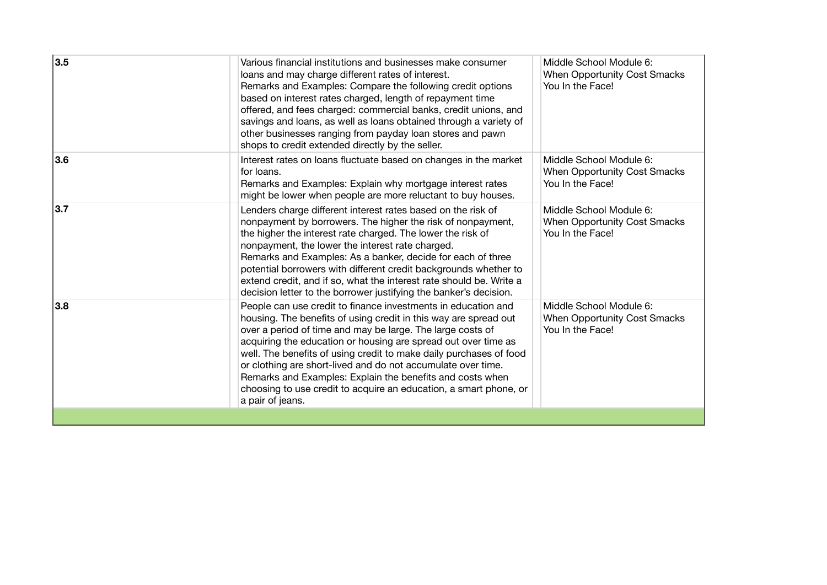| 3.5 | Various financial institutions and businesses make consumer<br>loans and may charge different rates of interest.<br>Remarks and Examples: Compare the following credit options<br>based on interest rates charged, length of repayment time<br>offered, and fees charged: commercial banks, credit unions, and<br>savings and loans, as well as loans obtained through a variety of<br>other businesses ranging from payday loan stores and pawn<br>shops to credit extended directly by the seller.                                                          | Middle School Module 6:<br>When Opportunity Cost Smacks<br>You In the Face!        |
|-----|---------------------------------------------------------------------------------------------------------------------------------------------------------------------------------------------------------------------------------------------------------------------------------------------------------------------------------------------------------------------------------------------------------------------------------------------------------------------------------------------------------------------------------------------------------------|------------------------------------------------------------------------------------|
| 3.6 | Interest rates on loans fluctuate based on changes in the market<br>for loans.<br>Remarks and Examples: Explain why mortgage interest rates<br>might be lower when people are more reluctant to buy houses.                                                                                                                                                                                                                                                                                                                                                   | Middle School Module 6:<br>When Opportunity Cost Smacks<br>You In the Face!        |
| 3.7 | Lenders charge different interest rates based on the risk of<br>nonpayment by borrowers. The higher the risk of nonpayment,<br>the higher the interest rate charged. The lower the risk of<br>nonpayment, the lower the interest rate charged.<br>Remarks and Examples: As a banker, decide for each of three<br>potential borrowers with different credit backgrounds whether to<br>extend credit, and if so, what the interest rate should be. Write a<br>decision letter to the borrower justifying the banker's decision.                                 | Middle School Module 6:<br><b>When Opportunity Cost Smacks</b><br>You In the Face! |
| 3.8 | People can use credit to finance investments in education and<br>housing. The benefits of using credit in this way are spread out<br>over a period of time and may be large. The large costs of<br>acquiring the education or housing are spread out over time as<br>well. The benefits of using credit to make daily purchases of food<br>or clothing are short-lived and do not accumulate over time.<br>Remarks and Examples: Explain the benefits and costs when<br>choosing to use credit to acquire an education, a smart phone, or<br>a pair of jeans. | Middle School Module 6:<br><b>When Opportunity Cost Smacks</b><br>You In the Face! |
|     |                                                                                                                                                                                                                                                                                                                                                                                                                                                                                                                                                               |                                                                                    |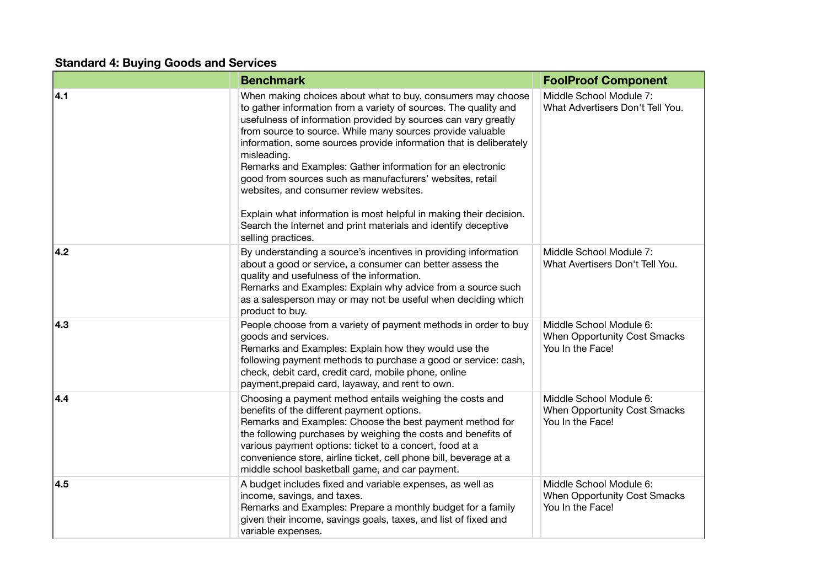# **Standard 4: Buying Goods and Services**

|     | <b>Benchmark</b>                                                                                                                                                                                                                                                                                                                                                                                                                                                                                                                                                                                                                                                                         | <b>FoolProof Component</b>                                                         |
|-----|------------------------------------------------------------------------------------------------------------------------------------------------------------------------------------------------------------------------------------------------------------------------------------------------------------------------------------------------------------------------------------------------------------------------------------------------------------------------------------------------------------------------------------------------------------------------------------------------------------------------------------------------------------------------------------------|------------------------------------------------------------------------------------|
| 4.1 | When making choices about what to buy, consumers may choose<br>to gather information from a variety of sources. The quality and<br>usefulness of information provided by sources can vary greatly<br>from source to source. While many sources provide valuable<br>information, some sources provide information that is deliberately<br>misleading.<br>Remarks and Examples: Gather information for an electronic<br>good from sources such as manufacturers' websites, retail<br>websites, and consumer review websites.<br>Explain what information is most helpful in making their decision.<br>Search the Internet and print materials and identify deceptive<br>selling practices. | Middle School Module 7:<br>What Advertisers Don't Tell You.                        |
| 4.2 | By understanding a source's incentives in providing information<br>about a good or service, a consumer can better assess the<br>quality and usefulness of the information.<br>Remarks and Examples: Explain why advice from a source such<br>as a salesperson may or may not be useful when deciding which<br>product to buy.                                                                                                                                                                                                                                                                                                                                                            | Middle School Module 7:<br>What Avertisers Don't Tell You.                         |
| 4.3 | People choose from a variety of payment methods in order to buy<br>goods and services.<br>Remarks and Examples: Explain how they would use the<br>following payment methods to purchase a good or service: cash,<br>check, debit card, credit card, mobile phone, online<br>payment, prepaid card, layaway, and rent to own.                                                                                                                                                                                                                                                                                                                                                             | Middle School Module 6:<br><b>When Opportunity Cost Smacks</b><br>You In the Face! |
| 4.4 | Choosing a payment method entails weighing the costs and<br>benefits of the different payment options.<br>Remarks and Examples: Choose the best payment method for<br>the following purchases by weighing the costs and benefits of<br>various payment options: ticket to a concert, food at a<br>convenience store, airline ticket, cell phone bill, beverage at a<br>middle school basketball game, and car payment.                                                                                                                                                                                                                                                                   | Middle School Module 6:<br><b>When Opportunity Cost Smacks</b><br>You In the Face! |
| 4.5 | A budget includes fixed and variable expenses, as well as<br>income, savings, and taxes.<br>Remarks and Examples: Prepare a monthly budget for a family<br>given their income, savings goals, taxes, and list of fixed and<br>variable expenses.                                                                                                                                                                                                                                                                                                                                                                                                                                         | Middle School Module 6:<br>When Opportunity Cost Smacks<br>You In the Face!        |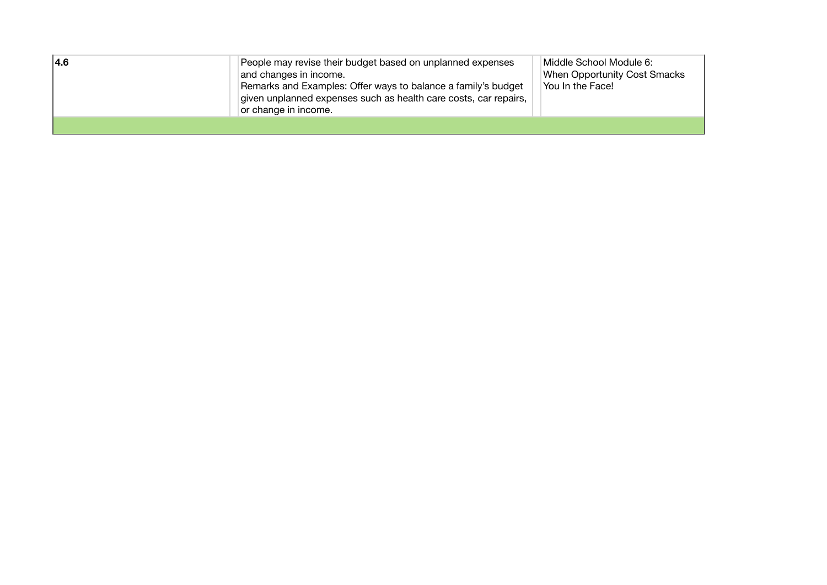| 4.6 | People may revise their budget based on unplanned expenses<br>and changes in income.<br>Remarks and Examples: Offer ways to balance a family's budget<br>given unplanned expenses such as health care costs, car repairs,<br>or change in income. | Middle School Module 6:<br><b>When Opportunity Cost Smacks</b><br>You In the Face! |
|-----|---------------------------------------------------------------------------------------------------------------------------------------------------------------------------------------------------------------------------------------------------|------------------------------------------------------------------------------------|
|     |                                                                                                                                                                                                                                                   |                                                                                    |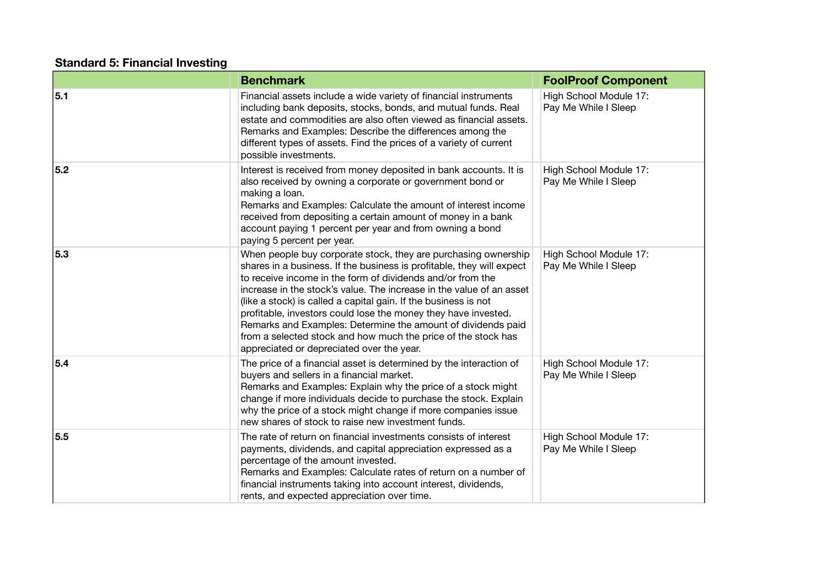### **Standard 5: Financial Investing**

|     | <b>Benchmark</b>                                                                                                                                                                                                                                                                                                                                                                                                                                                                                                                                                                                 | <b>FoolProof Component</b>                     |
|-----|--------------------------------------------------------------------------------------------------------------------------------------------------------------------------------------------------------------------------------------------------------------------------------------------------------------------------------------------------------------------------------------------------------------------------------------------------------------------------------------------------------------------------------------------------------------------------------------------------|------------------------------------------------|
| 5.1 | Financial assets include a wide variety of financial instruments<br>including bank deposits, stocks, bonds, and mutual funds. Real<br>estate and commodities are also often viewed as financial assets.<br>Remarks and Examples: Describe the differences among the<br>different types of assets. Find the prices of a variety of current<br>possible investments.                                                                                                                                                                                                                               | High School Module 17:<br>Pay Me While I Sleep |
| 5.2 | Interest is received from money deposited in bank accounts. It is<br>also received by owning a corporate or government bond or<br>making a loan.<br>Remarks and Examples: Calculate the amount of interest income<br>received from depositing a certain amount of money in a bank<br>account paying 1 percent per year and from owning a bond<br>paying 5 percent per year.                                                                                                                                                                                                                      | High School Module 17:<br>Pay Me While I Sleep |
| 5.3 | When people buy corporate stock, they are purchasing ownership<br>shares in a business. If the business is profitable, they will expect<br>to receive income in the form of dividends and/or from the<br>increase in the stock's value. The increase in the value of an asset<br>(like a stock) is called a capital gain. If the business is not<br>profitable, investors could lose the money they have invested.<br>Remarks and Examples: Determine the amount of dividends paid<br>from a selected stock and how much the price of the stock has<br>appreciated or depreciated over the year. | High School Module 17:<br>Pay Me While I Sleep |
| 5.4 | The price of a financial asset is determined by the interaction of<br>buyers and sellers in a financial market.<br>Remarks and Examples: Explain why the price of a stock might<br>change if more individuals decide to purchase the stock. Explain<br>why the price of a stock might change if more companies issue<br>new shares of stock to raise new investment funds.                                                                                                                                                                                                                       | High School Module 17:<br>Pay Me While I Sleep |
| 5.5 | The rate of return on financial investments consists of interest<br>payments, dividends, and capital appreciation expressed as a<br>percentage of the amount invested.<br>Remarks and Examples: Calculate rates of return on a number of<br>financial instruments taking into account interest, dividends,<br>rents, and expected appreciation over time.                                                                                                                                                                                                                                        | High School Module 17:<br>Pay Me While I Sleep |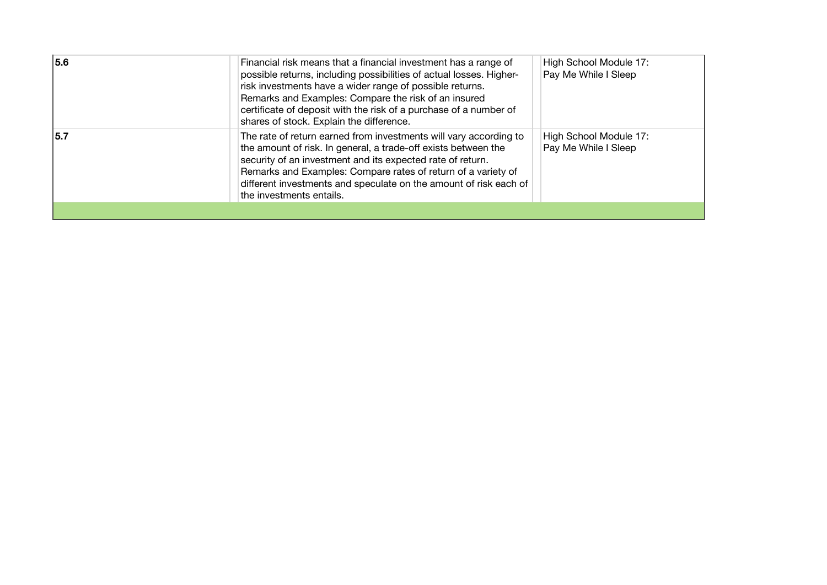| 5.6 | Financial risk means that a financial investment has a range of<br>possible returns, including possibilities of actual losses. Higher-<br>risk investments have a wider range of possible returns.<br>Remarks and Examples: Compare the risk of an insured<br>certificate of deposit with the risk of a purchase of a number of<br>shares of stock. Explain the difference. | High School Module 17:<br>Pay Me While I Sleep |
|-----|-----------------------------------------------------------------------------------------------------------------------------------------------------------------------------------------------------------------------------------------------------------------------------------------------------------------------------------------------------------------------------|------------------------------------------------|
| 5.7 | The rate of return earned from investments will vary according to<br>the amount of risk. In general, a trade-off exists between the<br>security of an investment and its expected rate of return.<br>Remarks and Examples: Compare rates of return of a variety of<br>different investments and speculate on the amount of risk each of<br>the investments entails.         | High School Module 17:<br>Pay Me While I Sleep |
|     |                                                                                                                                                                                                                                                                                                                                                                             |                                                |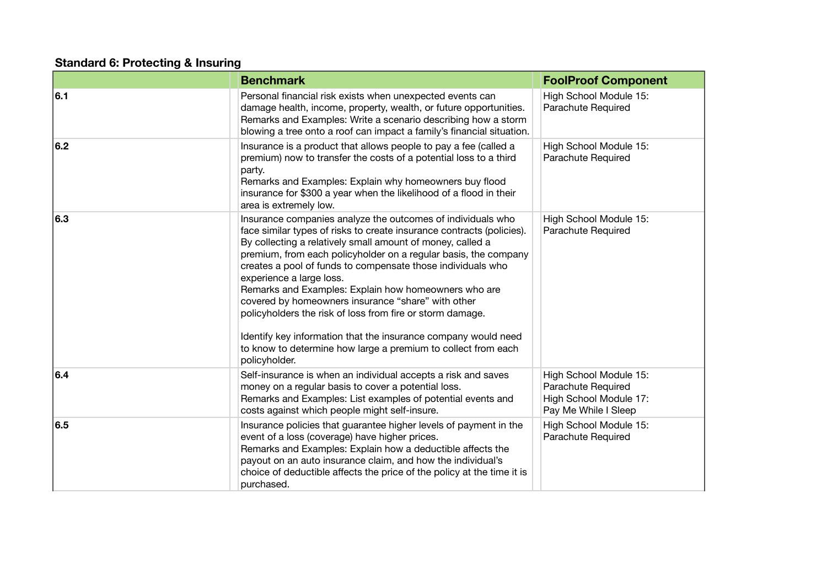### **Standard 6: Protecting & Insuring**

|     | <b>Benchmark</b>                                                                                                                                                                                                                                                                                                                                                                                                                                                                                                                                                                                                                                                                                | <b>FoolProof Component</b>                                                                     |
|-----|-------------------------------------------------------------------------------------------------------------------------------------------------------------------------------------------------------------------------------------------------------------------------------------------------------------------------------------------------------------------------------------------------------------------------------------------------------------------------------------------------------------------------------------------------------------------------------------------------------------------------------------------------------------------------------------------------|------------------------------------------------------------------------------------------------|
| 6.1 | Personal financial risk exists when unexpected events can<br>damage health, income, property, wealth, or future opportunities.<br>Remarks and Examples: Write a scenario describing how a storm<br>blowing a tree onto a roof can impact a family's financial situation.                                                                                                                                                                                                                                                                                                                                                                                                                        | High School Module 15:<br>Parachute Required                                                   |
| 6.2 | Insurance is a product that allows people to pay a fee (called a<br>premium) now to transfer the costs of a potential loss to a third<br>party.<br>Remarks and Examples: Explain why homeowners buy flood<br>insurance for \$300 a year when the likelihood of a flood in their<br>area is extremely low.                                                                                                                                                                                                                                                                                                                                                                                       | High School Module 15:<br>Parachute Required                                                   |
| 6.3 | Insurance companies analyze the outcomes of individuals who<br>face similar types of risks to create insurance contracts (policies).<br>By collecting a relatively small amount of money, called a<br>premium, from each policyholder on a regular basis, the company<br>creates a pool of funds to compensate those individuals who<br>experience a large loss.<br>Remarks and Examples: Explain how homeowners who are<br>covered by homeowners insurance "share" with other<br>policyholders the risk of loss from fire or storm damage.<br>Identify key information that the insurance company would need<br>to know to determine how large a premium to collect from each<br>policyholder. | High School Module 15:<br>Parachute Required                                                   |
| 6.4 | Self-insurance is when an individual accepts a risk and saves<br>money on a regular basis to cover a potential loss.<br>Remarks and Examples: List examples of potential events and<br>costs against which people might self-insure.                                                                                                                                                                                                                                                                                                                                                                                                                                                            | High School Module 15:<br>Parachute Required<br>High School Module 17:<br>Pay Me While I Sleep |
| 6.5 | Insurance policies that guarantee higher levels of payment in the<br>event of a loss (coverage) have higher prices.<br>Remarks and Examples: Explain how a deductible affects the<br>payout on an auto insurance claim, and how the individual's<br>choice of deductible affects the price of the policy at the time it is<br>purchased.                                                                                                                                                                                                                                                                                                                                                        | High School Module 15:<br>Parachute Required                                                   |